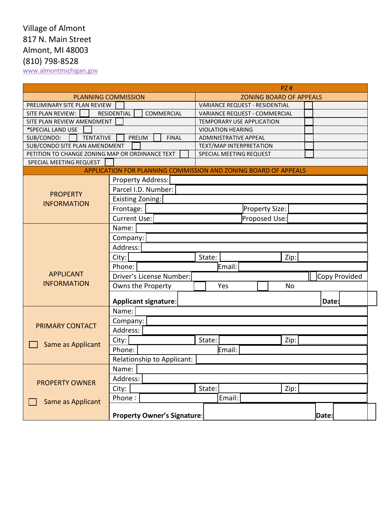# Village of Almont 817 N. Main Street Almont, MI 48003 (810) 798-8528

[www.almontmichigan.gov](http://www.almontmichigan.gov/)

|                                                 | PZ#                                |                                                                 |               |
|-------------------------------------------------|------------------------------------|-----------------------------------------------------------------|---------------|
| <b>PLANNING COMMISSION</b>                      |                                    | <b>ZONING BOARD OF APPEALS</b>                                  |               |
| PRELIMINARY SITE PLAN REVIEW                    |                                    | <b>VARIANCE REQUEST - RESIDENTIAL</b>                           |               |
| SITE PLAN REVIEW:                               | <b>RESIDENTIAL</b><br>COMMERCIAL   | VARIANCE REQUEST - COMMERCIAL                                   |               |
| SITE PLAN REVIEW AMENDMENT                      |                                    | TEMPORARY USE APPLICATION                                       |               |
| *SPECIAL LAND USE                               |                                    | <b>VIOLATION HEARING</b>                                        |               |
| <b>TENTATIVE</b><br>SUB/CONDO:                  | PRELIM<br><b>FINAL</b>             | <b>ADMINISTRATIVE APPEAL</b>                                    |               |
| SUB/CONDO SITE PLAN AMENDMENT                   |                                    | TEXT/MAP INTERPRETATION                                         |               |
| PETITION TO CHANGE ZONING MAP OR ORDINANCE TEXT |                                    | SPECIAL MEETING REQUEST                                         |               |
| SPECIAL MEETING REQUEST                         |                                    |                                                                 |               |
|                                                 |                                    | APPLICATION FOR PLANNING COMMISSION AND ZONING BOARD OF APPEALS |               |
|                                                 | Property Address:                  |                                                                 |               |
| <b>PROPERTY</b>                                 | Parcel I.D. Number:                |                                                                 |               |
|                                                 | <b>Existing Zoning:</b>            |                                                                 |               |
| <b>INFORMATION</b>                              | Frontage:                          | Property Size:                                                  |               |
|                                                 | <b>Current Use:</b>                | Proposed Use:                                                   |               |
|                                                 | Name:                              |                                                                 |               |
|                                                 |                                    |                                                                 |               |
|                                                 | Company:                           |                                                                 |               |
|                                                 | Address:                           |                                                                 |               |
|                                                 | City:                              | Zip:<br>State:                                                  |               |
|                                                 | Phone:                             | Email:                                                          |               |
| <b>APPLICANT</b>                                | Driver's License Number:           |                                                                 | Copy Provided |
| <b>INFORMATION</b>                              | Owns the Property                  | Yes<br><b>No</b>                                                |               |
|                                                 |                                    |                                                                 |               |
|                                                 | <b>Applicant signature:</b>        |                                                                 | Date:         |
|                                                 | Name:                              |                                                                 |               |
|                                                 | Company:                           |                                                                 |               |
| <b>PRIMARY CONTACT</b>                          | Address:                           |                                                                 |               |
| Same as Applicant                               | City:                              | State:<br>Zip:                                                  |               |
|                                                 | Phone:                             | Email:                                                          |               |
|                                                 | Relationship to Applicant:         |                                                                 |               |
|                                                 |                                    |                                                                 |               |
|                                                 | Name:                              |                                                                 |               |
| <b>PROPERTY OWNER</b>                           | Address:                           |                                                                 |               |
|                                                 | City:                              | State:<br>Zip:                                                  |               |
| <b>Same as Applicant</b>                        | Phone:                             | Email:                                                          |               |
|                                                 |                                    |                                                                 |               |
|                                                 | <b>Property Owner's Signature:</b> |                                                                 | Date:         |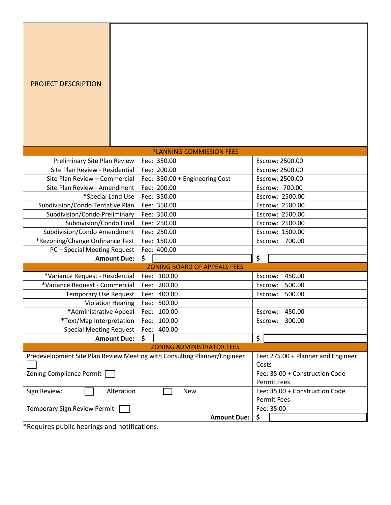| <b>PROJECT DESCRIPTION</b>                                               |                                                      |                   |
|--------------------------------------------------------------------------|------------------------------------------------------|-------------------|
|                                                                          | <b>PLANNING COMMISSION FEES</b>                      |                   |
| Preliminary Site Plan Review                                             | Fee: 350.00                                          | Escrow: 2500.00   |
| Site Plan Review - Residential                                           | Fee: 200.00                                          | Escrow: 2500.00   |
| Site Plan Review - Commercial                                            | Fee: 350.00 + Engineering Cost                       | Escrow: 2500.00   |
| Site Plan Review - Amendment                                             | Fee: 200.00                                          | Escrow: 700.00    |
| *Special Land Use                                                        | Fee: 350.00                                          | Escrow: 2500.00   |
| Subdivision/Condo Tentative Plan                                         | Fee: 350.00                                          | Escrow: 2500.00   |
| Subdivision/Condo Preliminary                                            | Fee: 350.00                                          | Escrow: 2500.00   |
| Subdivision/Condo Final                                                  | Fee: 250.00                                          | Escrow: 2500.00   |
| Subdivision/Condo Amendment                                              | Fee: 250.00                                          | Escrow: 1500.00   |
| *Rezoning/Change Ordinance Text                                          | Fee: 150.00                                          | 700.00<br>Escrow: |
| PC - Special Meeting Request<br><b>Amount Due:</b>                       | Fee: 400.00                                          | \$                |
|                                                                          | \$<br><b>ZONING BOARD OF APPEALS FEES</b>            |                   |
| *Variance Request - Residential                                          | Fee: 100.00                                          | 450.00<br>Escrow: |
| *Variance Request - Commercial                                           | 200.00<br>Fee:                                       | 500.00<br>Escrow: |
| <b>Temporary Use Request</b>                                             | Fee: 400.00                                          | 500.00<br>Escrow: |
| <b>Violation Hearing</b>                                                 | Fee: 500.00                                          |                   |
| *Administrative Appeal                                                   | Fee:<br>100.00                                       | Escrow:<br>450.00 |
| *Text/Map Interpretation                                                 | 100.00<br>Fee:                                       | 300.00<br>Escrow: |
| <b>Special Meeting Request</b>                                           | Fee: 400.00                                          |                   |
| <b>Amount Due:</b>                                                       | \$                                                   | \$                |
|                                                                          | <b>ZONING ADMINISTRATOR FEES</b>                     |                   |
| Predevelopment Site Plan Review Meeting with Consulting Planner/Engineer | Fee: 275.00 + Planner and Engineer<br>Costs          |                   |
| Zoning Compliance Permit                                                 | Fee: 35.00 + Construction Code<br><b>Permit Fees</b> |                   |
| Alteration<br>Sign Review:                                               | Fee: 35.00 + Construction Code<br><b>Permit Fees</b> |                   |
| <b>Temporary Sign Review Permit</b>                                      | Fee: 35.00                                           |                   |
|                                                                          | <b>Amount Due:</b>                                   | \$                |

\*Requires public hearings and notifications.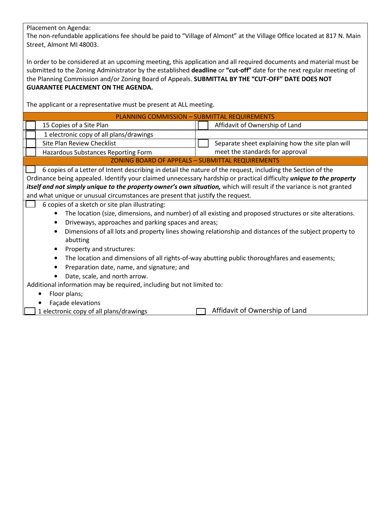Placement on Agenda:

The non-refundable applications fee should be paid to "Village of Almont" at the Village Office located at 817 N. Main Street, Almont MI 48003.

In order to be considered at an upcoming meeting, this application and all required documents and material must be submitted to the Zoning Administrator by the established **deadline** or **"cut-off"** date for the next regular meeting of the Planning Commission and/or Zoning Board of Appeals. **SUBMITTAL BY THE "CUT-OFF" DATE DOES NOT GUARANTEE PLACEMENT ON THE AGENDA.**

The applicant or a representative must be present at ALL meeting.

| 15 Copies of a Site Plan                                                                                                                                                                                                                                                                                                                                                                                                                                                                                                                                                                                                                                                                                                                                                                          | Affidavit of Ownership of Land                   |  |  |  |  |
|---------------------------------------------------------------------------------------------------------------------------------------------------------------------------------------------------------------------------------------------------------------------------------------------------------------------------------------------------------------------------------------------------------------------------------------------------------------------------------------------------------------------------------------------------------------------------------------------------------------------------------------------------------------------------------------------------------------------------------------------------------------------------------------------------|--------------------------------------------------|--|--|--|--|
|                                                                                                                                                                                                                                                                                                                                                                                                                                                                                                                                                                                                                                                                                                                                                                                                   |                                                  |  |  |  |  |
| 1 electronic copy of all plans/drawings                                                                                                                                                                                                                                                                                                                                                                                                                                                                                                                                                                                                                                                                                                                                                           |                                                  |  |  |  |  |
| <b>Site Plan Review Checklist</b>                                                                                                                                                                                                                                                                                                                                                                                                                                                                                                                                                                                                                                                                                                                                                                 | Separate sheet explaining how the site plan will |  |  |  |  |
| Hazardous Substances Reporting Form                                                                                                                                                                                                                                                                                                                                                                                                                                                                                                                                                                                                                                                                                                                                                               | meet the standards for approval                  |  |  |  |  |
| <b>ZONING BOARD OF APPEALS - SUBMITTAL REQUIREMENTS</b>                                                                                                                                                                                                                                                                                                                                                                                                                                                                                                                                                                                                                                                                                                                                           |                                                  |  |  |  |  |
| 6 copies of a Letter of Intent describing in detail the nature of the request, including the Section of the<br>Ordinance being appealed. Identify your claimed unnecessary hardship or practical difficulty <i>unique to the property</i><br>itself and not simply unique to the property owner's own situation, which will result if the variance is not granted<br>and what unique or unusual circumstances are present that justify the request.                                                                                                                                                                                                                                                                                                                                               |                                                  |  |  |  |  |
| 6 copies of a sketch or site plan illustrating:<br>The location (size, dimensions, and number) of all existing and proposed structures or site alterations.<br>٠<br>Driveways, approaches and parking spaces and areas;<br>٠<br>Dimensions of all lots and property lines showing relationship and distances of the subject property to<br>$\bullet$<br>abutting<br>Property and structures:<br>$\bullet$<br>The location and dimensions of all rights-of-way abutting public thoroughfares and easements;<br>$\bullet$<br>Preparation date, name, and signature; and<br>Date, scale, and north arrow.<br>Additional information may be required, including but not limited to:<br>Floor plans;<br>Façade elevations<br>Affidavit of Ownership of Land<br>1 electronic copy of all plans/drawings |                                                  |  |  |  |  |